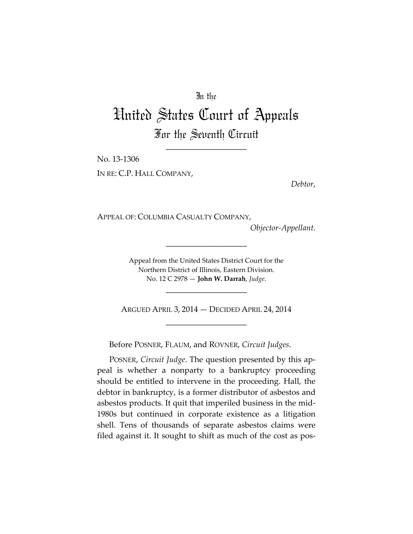## In the

## United States Court of Appeals For the Seventh Circuit

\_\_\_\_\_\_\_\_\_\_\_\_\_\_\_\_\_\_\_\_

No. 13‐1306 IN RE: C.P. HALL COMPANY,

*Debtor*,

APPEAL OF: COLUMBIA CASUALTY COMPANY,

*Objector‐Appellant*.

Appeal from the United States District Court for the Northern District of Illinois, Eastern Division. No. 12 C 2978 — **John W. Darrah**, *Judge*.

\_\_\_\_\_\_\_\_\_\_\_\_\_\_\_\_\_\_\_\_

ARGUED APRIL 3, 2014 — DECIDED APRIL 24, 2014 \_\_\_\_\_\_\_\_\_\_\_\_\_\_\_\_\_\_\_\_

\_\_\_\_\_\_\_\_\_\_\_\_\_\_\_\_\_\_\_\_

Before POSNER, FLAUM, and ROVNER, *Circuit Judges*.

POSNER, *Circuit Judge*. The question presented by this ap‐ peal is whether a nonparty to a bankruptcy proceeding should be entitled to intervene in the proceeding. Hall, the debtor in bankruptcy, is a former distributor of asbestos and asbestos products. It quit that imperiled business in the mid‐ 1980s but continued in corporate existence as a litigation shell. Tens of thousands of separate asbestos claims were filed against it. It sought to shift as much of the cost as pos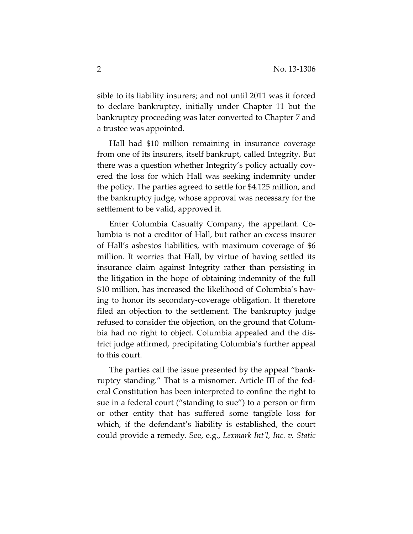sible to its liability insurers; and not until 2011 was it forced to declare bankruptcy, initially under Chapter 11 but the bankruptcy proceeding was later converted to Chapter 7 and a trustee was appointed.

Hall had \$10 million remaining in insurance coverage from one of its insurers, itself bankrupt, called Integrity. But there was a question whether Integrity's policy actually cov‐ ered the loss for which Hall was seeking indemnity under the policy. The parties agreed to settle for \$4.125 million, and the bankruptcy judge, whose approval was necessary for the settlement to be valid, approved it.

Enter Columbia Casualty Company, the appellant. Co‐ lumbia is not a creditor of Hall, but rather an excess insurer of Hall's asbestos liabilities, with maximum coverage of \$6 million. It worries that Hall, by virtue of having settled its insurance claim against Integrity rather than persisting in the litigation in the hope of obtaining indemnity of the full \$10 million, has increased the likelihood of Columbia's having to honor its secondary‐coverage obligation. It therefore filed an objection to the settlement. The bankruptcy judge refused to consider the objection, on the ground that Colum‐ bia had no right to object. Columbia appealed and the dis‐ trict judge affirmed, precipitating Columbia's further appeal to this court.

The parties call the issue presented by the appeal "bank‐ ruptcy standing." That is a misnomer. Article III of the fed‐ eral Constitution has been interpreted to confine the right to sue in a federal court ("standing to sue") to a person or firm or other entity that has suffered some tangible loss for which, if the defendant's liability is established, the court could provide a remedy. See, e.g., *Lexmark Int'l, Inc. v. Static*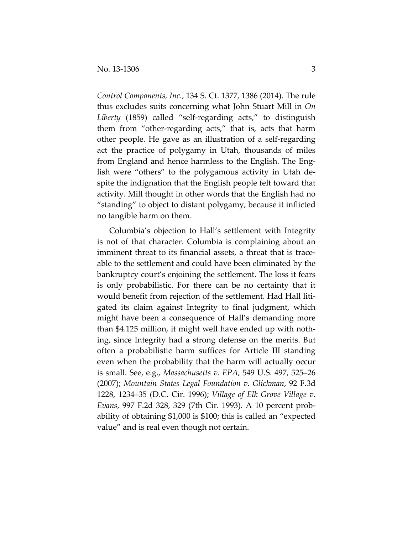*Control Components, Inc.*, 134 S. Ct. 1377, 1386 (2014). The rule thus excludes suits concerning what John Stuart Mill in *On Liberty* (1859) called "self‐regarding acts," to distinguish them from "other‐regarding acts," that is, acts that harm other people. He gave as an illustration of a self‐regarding act the practice of polygamy in Utah, thousands of miles from England and hence harmless to the English. The Eng‐ lish were "others" to the polygamous activity in Utah de‐ spite the indignation that the English people felt toward that activity. Mill thought in other words that the English had no "standing" to object to distant polygamy, because it inflicted no tangible harm on them.

Columbia's objection to Hall's settlement with Integrity is not of that character. Columbia is complaining about an imminent threat to its financial assets, a threat that is traceable to the settlement and could have been eliminated by the bankruptcy court's enjoining the settlement. The loss it fears is only probabilistic. For there can be no certainty that it would benefit from rejection of the settlement. Had Hall litigated its claim against Integrity to final judgment, which might have been a consequence of Hall's demanding more than \$4.125 million, it might well have ended up with noth‐ ing, since Integrity had a strong defense on the merits. But often a probabilistic harm suffices for Article III standing even when the probability that the harm will actually occur is small. See, e.g., *Massachusetts v. EPA*, 549 U.S. 497, 525–26 (2007); *Mountain States Legal Foundation v. Glickman*, 92 F.3d 1228, 1234–35 (D.C. Cir. 1996); *Village of Elk Grove Village v. Evans*, 997 F.2d 328, 329 (7th Cir. 1993). A 10 percent prob‐ ability of obtaining \$1,000 is \$100; this is called an "expected value" and is real even though not certain.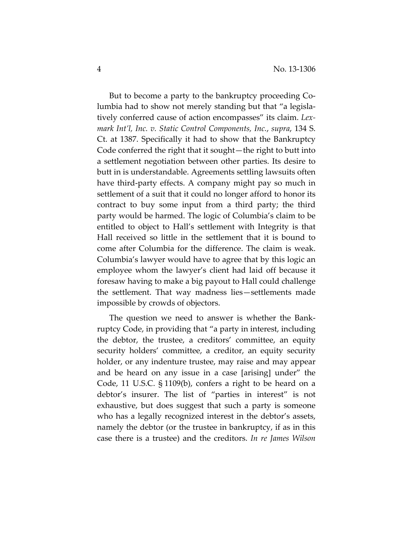But to become a party to the bankruptcy proceeding Co‐ lumbia had to show not merely standing but that "a legisla‐ tively conferred cause of action encompasses" its claim. *Lex‐ mark Int'l, Inc. v. Static Control Components, Inc.*, *supra*, 134 S. Ct. at 1387. Specifically it had to show that the Bankruptcy Code conferred the right that it sought—the right to butt into a settlement negotiation between other parties. Its desire to butt in is understandable. Agreements settling lawsuits often have third-party effects. A company might pay so much in settlement of a suit that it could no longer afford to honor its contract to buy some input from a third party; the third party would be harmed. The logic of Columbia's claim to be entitled to object to Hall's settlement with Integrity is that Hall received so little in the settlement that it is bound to come after Columbia for the difference. The claim is weak. Columbia's lawyer would have to agree that by this logic an employee whom the lawyer's client had laid off because it foresaw having to make a big payout to Hall could challenge the settlement. That way madness lies—settlements made impossible by crowds of objectors.

The question we need to answer is whether the Bank‐ ruptcy Code, in providing that "a party in interest, including the debtor, the trustee, a creditors' committee, an equity security holders' committee, a creditor, an equity security holder, or any indenture trustee, may raise and may appear and be heard on any issue in a case [arising] under" the Code, 11 U.S.C. § 1109(b), confers a right to be heard on a debtor's insurer. The list of "parties in interest" is not exhaustive, but does suggest that such a party is someone who has a legally recognized interest in the debtor's assets, namely the debtor (or the trustee in bankruptcy, if as in this case there is a trustee) and the creditors. *In re James Wilson*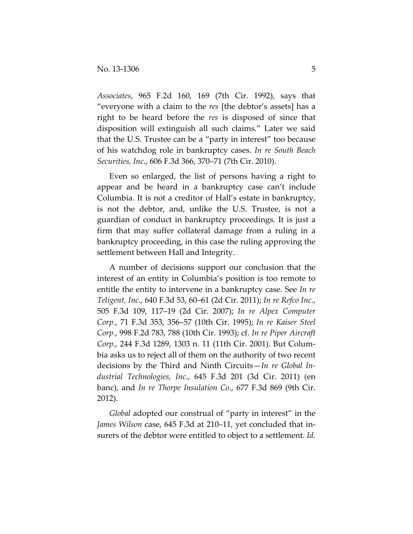*Associates*, 965 F.2d 160, 169 (7th Cir. 1992), says that "everyone with a claim to the *res* [the debtor's assets] has a right to be heard before the *res* is disposed of since that disposition will extinguish all such claims." Later we said that the U.S. Trustee can be a "party in interest" too because of his watchdog role in bankruptcy cases. *In re South Beach Securities, Inc*., 606 F.3d 366, 370–71 (7th Cir. 2010).

Even so enlarged, the list of persons having a right to appear and be heard in a bankruptcy case can't include Columbia. It is not a creditor of Hall's estate in bankruptcy, is not the debtor, and, unlike the U.S. Trustee, is not a guardian of conduct in bankruptcy proceedings. It is just a firm that may suffer collateral damage from a ruling in a bankruptcy proceeding, in this case the ruling approving the settlement between Hall and Integrity.

A number of decisions support our conclusion that the interest of an entity in Columbia's position is too remote to entitle the entity to intervene in a bankruptcy case. See *In re Teligent, Inc.*, 640 F.3d 53, 60–61 (2d Cir. 2011); *In re Refco Inc.*, 505 F.3d 109, 117–19 (2d Cir. 2007); *In re Alpex Computer Corp.*, 71 F.3d 353, 356–57 (10th Cir. 1995); *In re Kaiser Steel Corp.*, 998 F.2d 783, 788 (10th Cir. 1993); cf. *In re Piper Aircraft Corp.*, 244 F.3d 1289, 1303 n. 11 (11th Cir. 2001). But Colum‐ bia asks us to reject all of them on the authority of two recent decisions by the Third and Ninth Circuits—*In re Global In‐ dustrial Technologies, Inc*., 645 F.3d 201 (3d Cir. 2011) (en banc), and *In re Thorpe Insulation Co*., 677 F.3d 869 (9th Cir. 2012).

*Global* adopted our construal of "party in interest" in the *James Wilson* case, 645 F.3d at 210–11, yet concluded that in‐ surers of the debtor were entitled to object to a settlement. *Id.*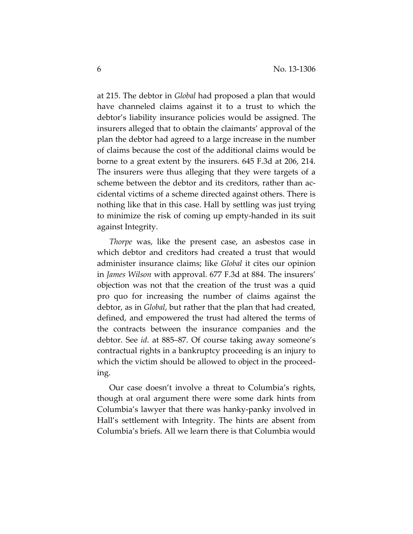at 215. The debtor in *Global* had proposed a plan that would have channeled claims against it to a trust to which the debtor's liability insurance policies would be assigned. The insurers alleged that to obtain the claimants' approval of the plan the debtor had agreed to a large increase in the number of claims because the cost of the additional claims would be borne to a great extent by the insurers. 645 F.3d at 206, 214. The insurers were thus alleging that they were targets of a scheme between the debtor and its creditors, rather than accidental victims of a scheme directed against others. There is nothing like that in this case. Hall by settling was just trying to minimize the risk of coming up empty‐handed in its suit against Integrity.

*Thorpe* was, like the present case, an asbestos case in which debtor and creditors had created a trust that would administer insurance claims; like *Global* it cites our opinion in *James Wilson* with approval. 677 F.3d at 884. The insurers' objection was not that the creation of the trust was a quid pro quo for increasing the number of claims against the debtor, as in *Global*, but rather that the plan that had created, defined, and empowered the trust had altered the terms of the contracts between the insurance companies and the debtor. See *id*. at 885–87. Of course taking away someone's contractual rights in a bankruptcy proceeding is an injury to which the victim should be allowed to object in the proceed‐ ing.

Our case doesn't involve a threat to Columbia's rights, though at oral argument there were some dark hints from Columbia's lawyer that there was hanky‐panky involved in Hall's settlement with Integrity. The hints are absent from Columbia's briefs. All we learn there is that Columbia would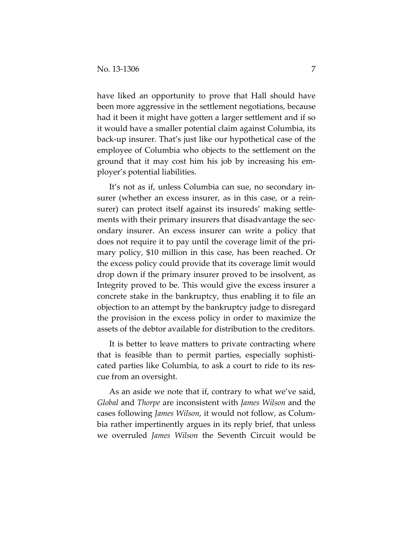have liked an opportunity to prove that Hall should have been more aggressive in the settlement negotiations, because had it been it might have gotten a larger settlement and if so it would have a smaller potential claim against Columbia, its back‐up insurer. That's just like our hypothetical case of the employee of Columbia who objects to the settlement on the ground that it may cost him his job by increasing his em‐ ployer's potential liabilities.

It's not as if, unless Columbia can sue, no secondary in‐ surer (whether an excess insurer, as in this case, or a rein‐ surer) can protect itself against its insureds' making settlements with their primary insurers that disadvantage the secondary insurer. An excess insurer can write a policy that does not require it to pay until the coverage limit of the pri‐ mary policy, \$10 million in this case, has been reached. Or the excess policy could provide that its coverage limit would drop down if the primary insurer proved to be insolvent, as Integrity proved to be. This would give the excess insurer a concrete stake in the bankruptcy, thus enabling it to file an objection to an attempt by the bankruptcy judge to disregard the provision in the excess policy in order to maximize the assets of the debtor available for distribution to the creditors.

It is better to leave matters to private contracting where that is feasible than to permit parties, especially sophisti‐ cated parties like Columbia, to ask a court to ride to its res‐ cue from an oversight.

As an aside we note that if, contrary to what we've said, *Global* and *Thorpe* are inconsistent with *James Wilson* and the cases following *James Wilson*, it would not follow, as Colum‐ bia rather impertinently argues in its reply brief, that unless we overruled *James Wilson* the Seventh Circuit would be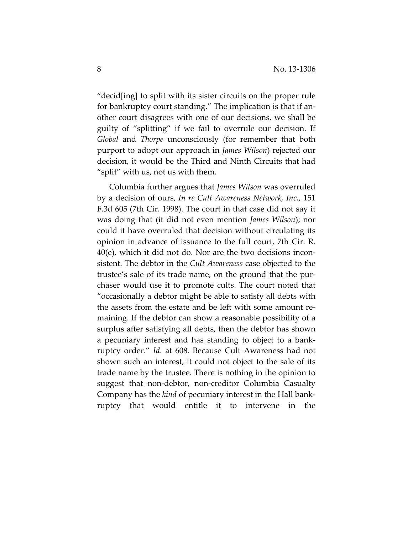"decid[ing] to split with its sister circuits on the proper rule for bankruptcy court standing." The implication is that if an‐ other court disagrees with one of our decisions, we shall be guilty of "splitting" if we fail to overrule our decision. If *Global* and *Thorpe* unconsciously (for remember that both purport to adopt our approach in *James Wilson*) rejected our decision, it would be the Third and Ninth Circuits that had "split" with us, not us with them.

Columbia further argues that *James Wilson* was overruled by a decision of ours, *In re Cult Awareness Network, Inc.*, 151 F.3d 605 (7th Cir. 1998). The court in that case did not say it was doing that (it did not even mention *James Wilson*); nor could it have overruled that decision without circulating its opinion in advance of issuance to the full court, 7th Cir. R. 40(e), which it did not do. Nor are the two decisions incon‐ sistent. The debtor in the *Cult Awareness* case objected to the trustee's sale of its trade name, on the ground that the pur‐ chaser would use it to promote cults. The court noted that "occasionally a debtor might be able to satisfy all debts with the assets from the estate and be left with some amount re‐ maining. If the debtor can show a reasonable possibility of a surplus after satisfying all debts, then the debtor has shown a pecuniary interest and has standing to object to a bank‐ ruptcy order." *Id*. at 608. Because Cult Awareness had not shown such an interest, it could not object to the sale of its trade name by the trustee. There is nothing in the opinion to suggest that non‐debtor, non‐creditor Columbia Casualty Company has the *kind* of pecuniary interest in the Hall bank‐ ruptcy that would entitle it to intervene in the